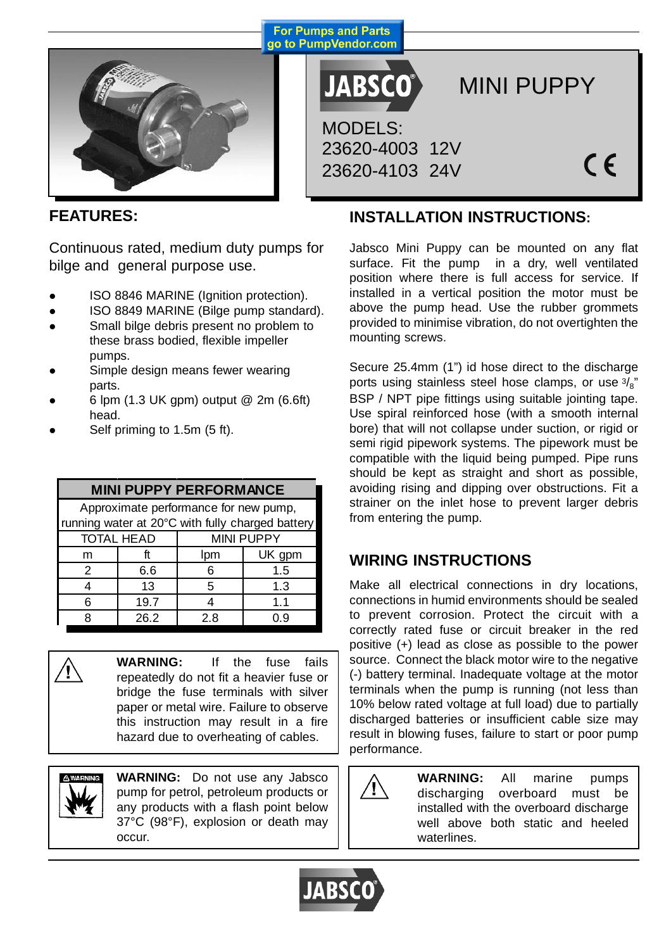

**JABSCO®** MODELS: 23620-4003 12V 23620-4103 24V

**For Pumps and Parts** 

MINI PUPPY

 $\epsilon$ 

## **FEATURES:**

Continuous rated, medium duty pumps for bilge and general purpose use.

- ISO 8846 MARINE (Ignition protection).
- ISO 8849 MARINE (Bilge pump standard).
- Small bilge debris present no problem to these brass bodied, flexible impeller pumps.
- Simple design means fewer wearing parts.
- z 6 lpm (1.3 UK gpm) output @ 2m (6.6ft) head.
- Self priming to 1.5m (5 ft).

#### m ft | lpm | UK gpm 2 6.6 6 1.5 4 13 5 1.3 6 19.7 4 1.1 8 26.2 2.8 0.9 **MINI PUPPY PERFORMANCE** TOTAL HEAD MINI PUPPY Approximate performance for new pump, running water at 20°C with fully charged battery



**WARNING:** If the fuse fails repeatedly do not fit a heavier fuse or bridge the fuse terminals with silver paper or metal wire. Failure to observe this instruction may result in a fire hazard due to overheating of cables.



**WARNING:** Do not use any Jabsco pump for petrol, petroleum products or any products with a flash point below 37°C (98°F), explosion or death may occur.

# **INSTALLATION INSTRUCTIONS:**

Jabsco Mini Puppy can be mounted on any flat surface. Fit the pump in a dry, well ventilated position where there is full access for service. If installed in a vertical position the motor must be above the pump head. Use the rubber grommets provided to minimise vibration, do not overtighten the mounting screws.

Secure 25.4mm (1") id hose direct to the discharge ports using stainless steel hose clamps, or use  $\frac{3}{8}$ " BSP / NPT pipe fittings using suitable jointing tape. Use spiral reinforced hose (with a smooth internal bore) that will not collapse under suction, or rigid or semi rigid pipework systems. The pipework must be compatible with the liquid being pumped. Pipe runs should be kept as straight and short as possible, avoiding rising and dipping over obstructions. Fit a strainer on the inlet hose to prevent larger debris from entering the pump.

# **WIRING INSTRUCTIONS**

Make all electrical connections in dry locations, connections in humid environments should be sealed to prevent corrosion. Protect the circuit with a correctly rated fuse or circuit breaker in the red positive (+) lead as close as possible to the power source. Connect the black motor wire to the negative (-) battery terminal. Inadequate voltage at the motor terminals when the pump is running (not less than 10% below rated voltage at full load) due to partially discharged batteries or insufficient cable size may result in blowing fuses, failure to start or poor pump performance.

> **WARNING:** All marine pumps discharging overboard must be installed with the overboard discharge well above both static and heeled waterlines.